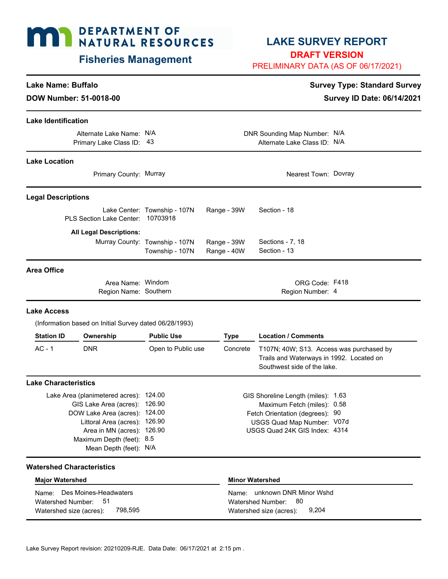# **MAY DEPARTMENT OF NATURAL RESOURCES**

# **Fisheries Management**

# **LAKE SURVEY REPORT**

**DRAFT VERSION**

PRELIMINARY DATA (AS OF 06/17/2021)

9,204

## **Lake Name: Buffalo Survey Type: Standard Survey** Type: Standard Survey

**DOW Number: 51-0018-00** Survey ID Date: 06/14/2021

| <b>Lake Identification</b>                                                                                                                                                                                                        |                                                        |                                                   |                                                                                                                                                                     |                        |                                                                                                                     |  |  |
|-----------------------------------------------------------------------------------------------------------------------------------------------------------------------------------------------------------------------------------|--------------------------------------------------------|---------------------------------------------------|---------------------------------------------------------------------------------------------------------------------------------------------------------------------|------------------------|---------------------------------------------------------------------------------------------------------------------|--|--|
|                                                                                                                                                                                                                                   | Alternate Lake Name: N/A<br>Primary Lake Class ID: 43  |                                                   | DNR Sounding Map Number: N/A<br>Alternate Lake Class ID: N/A                                                                                                        |                        |                                                                                                                     |  |  |
| <b>Lake Location</b>                                                                                                                                                                                                              |                                                        |                                                   |                                                                                                                                                                     |                        |                                                                                                                     |  |  |
|                                                                                                                                                                                                                                   | Primary County: Murray                                 |                                                   |                                                                                                                                                                     |                        | Nearest Town: Dovray                                                                                                |  |  |
| <b>Legal Descriptions</b>                                                                                                                                                                                                         |                                                        |                                                   |                                                                                                                                                                     |                        |                                                                                                                     |  |  |
|                                                                                                                                                                                                                                   | <b>PLS Section Lake Center:</b>                        | Lake Center: Township - 107N<br>10703918          | Range - 39W                                                                                                                                                         |                        | Section - 18                                                                                                        |  |  |
|                                                                                                                                                                                                                                   | <b>All Legal Descriptions:</b>                         |                                                   |                                                                                                                                                                     |                        |                                                                                                                     |  |  |
|                                                                                                                                                                                                                                   |                                                        | Murray County: Township - 107N<br>Township - 107N | Range - 39W<br>Range - 40W                                                                                                                                          |                        | Sections - 7, 18<br>Section - 13                                                                                    |  |  |
| <b>Area Office</b>                                                                                                                                                                                                                |                                                        |                                                   |                                                                                                                                                                     |                        |                                                                                                                     |  |  |
|                                                                                                                                                                                                                                   | Area Name: Windom<br>Region Name: Southern             |                                                   |                                                                                                                                                                     |                        | ORG Code: F418<br>Region Number: 4                                                                                  |  |  |
| <b>Lake Access</b>                                                                                                                                                                                                                |                                                        |                                                   |                                                                                                                                                                     |                        |                                                                                                                     |  |  |
|                                                                                                                                                                                                                                   | (Information based on Initial Survey dated 06/28/1993) |                                                   |                                                                                                                                                                     |                        |                                                                                                                     |  |  |
| <b>Station ID</b>                                                                                                                                                                                                                 | Ownership                                              | <b>Public Use</b>                                 |                                                                                                                                                                     | <b>Type</b>            | <b>Location / Comments</b>                                                                                          |  |  |
| $AC - 1$                                                                                                                                                                                                                          | <b>DNR</b>                                             | Open to Public use                                |                                                                                                                                                                     | Concrete               | T107N; 40W; S13. Access was purchased by<br>Trails and Waterways in 1992. Located on<br>Southwest side of the lake. |  |  |
| <b>Lake Characteristics</b>                                                                                                                                                                                                       |                                                        |                                                   |                                                                                                                                                                     |                        |                                                                                                                     |  |  |
| Lake Area (planimetered acres): 124.00<br>126.90<br>GIS Lake Area (acres):<br>DOW Lake Area (acres): 124.00<br>Littoral Area (acres): 126.90<br>Area in MN (acres): 126.90<br>Maximum Depth (feet): 8.5<br>Mean Depth (feet): N/A |                                                        |                                                   | GIS Shoreline Length (miles): 1.63<br>Maximum Fetch (miles): 0.58<br>Fetch Orientation (degrees): 90<br>USGS Quad Map Number: V07d<br>USGS Quad 24K GIS Index: 4314 |                        |                                                                                                                     |  |  |
| <b>Watershed Characteristics</b>                                                                                                                                                                                                  |                                                        |                                                   |                                                                                                                                                                     |                        |                                                                                                                     |  |  |
| <b>Major Watershed</b>                                                                                                                                                                                                            |                                                        |                                                   |                                                                                                                                                                     | <b>Minor Watershed</b> |                                                                                                                     |  |  |
| Name:<br>Watershed Number:                                                                                                                                                                                                        | Des Moines-Headwaters<br>51                            |                                                   |                                                                                                                                                                     | Name:                  | unknown DNR Minor Wshd<br>80<br>Watershed Number:                                                                   |  |  |

798,595

Watershed size (acres): 798,595 Watershed size (acres):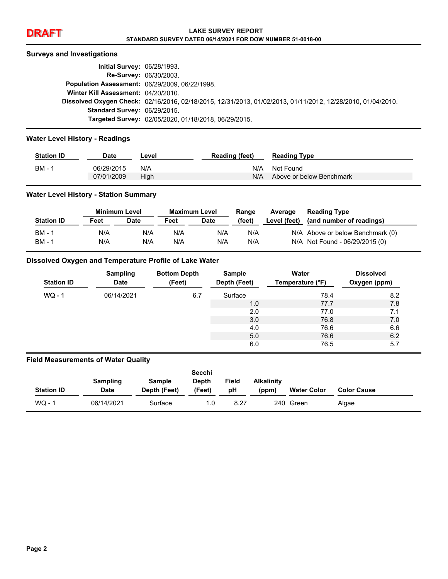#### **Surveys and Investigations**

| <b>Initial Survey: 06/28/1993.</b>             |                                                                                                             |
|------------------------------------------------|-------------------------------------------------------------------------------------------------------------|
|                                                | <b>Re-Survey: 06/30/2003.</b>                                                                               |
| Population Assessment: 06/29/2009, 06/22/1998. |                                                                                                             |
| Winter Kill Assessment: 04/20/2010.            |                                                                                                             |
|                                                | Dissolved Oxygen Check: 02/16/2016, 02/18/2015, 12/31/2013, 01/02/2013, 01/11/2012, 12/28/2010, 01/04/2010. |
| <b>Standard Survey: 06/29/2015.</b>            |                                                                                                             |
|                                                | Targeted Survey: 02/05/2020, 01/18/2018, 06/29/2015.                                                        |

#### **Water Level History - Readings**

| <b>Station ID</b> | <b>Date</b> | ∟evel | <b>Reading (feet)</b> | <b>Reading Type</b>      |
|-------------------|-------------|-------|-----------------------|--------------------------|
| BM -              | 06/29/2015  | N/A   | N/A                   | Not Found                |
|                   | 07/01/2009  | High  | N/A                   | Above or below Benchmark |

#### **Water Level History - Station Summary**

|                   | Minimum Level |             | <b>Maximum Level</b> |             | Range  | Average      | <b>Reading Type</b>              |
|-------------------|---------------|-------------|----------------------|-------------|--------|--------------|----------------------------------|
| <b>Station ID</b> | Feet          | <b>Date</b> | Feet                 | <b>Date</b> | (feet) | Level (feet) | (and number of readings)         |
| <b>BM - 1</b>     | N/A           | N/A         | N/A                  | N/A         | N/A    |              | N/A Above or below Benchmark (0) |
| <b>BM - 1</b>     | N/A           | N/A         | N/A                  | N/A         | N/A    |              | N/A Not Found - 06/29/2015 (0)   |

#### **Dissolved Oxygen and Temperature Profile of Lake Water**

| <b>Station ID</b> | <b>Sampling</b><br><b>Date</b> | <b>Bottom Depth</b><br>(Feet) | Sample<br>Depth (Feet) | Water<br>Temperature (°F) | <b>Dissolved</b><br>Oxygen (ppm) |
|-------------------|--------------------------------|-------------------------------|------------------------|---------------------------|----------------------------------|
| $WO - 1$          | 06/14/2021                     | 6.7                           | Surface<br>78.4        |                           | 8.2                              |
|                   |                                |                               | 1.0                    | 77.7                      | 7.8                              |
|                   |                                |                               | 2.0                    | 77.0                      | 7.1                              |
|                   |                                |                               | 3.0                    | 76.8                      | 7.0                              |
|                   |                                |                               | 4.0                    | 76.6                      | 6.6                              |
|                   |                                |                               | 5.0                    | 76.6                      | 6.2                              |
|                   |                                |                               | 6.0                    | 76.5                      | 5.7                              |

#### **Field Measurements of Water Quality**

|                   |             |               | Secchi       |       |                   |                    |                    |
|-------------------|-------------|---------------|--------------|-------|-------------------|--------------------|--------------------|
|                   | Sampling    | <b>Sample</b> | <b>Depth</b> | Field | <b>Alkalinity</b> |                    |                    |
| <b>Station ID</b> | <b>Date</b> | Depth (Feet)  | (Feet)       | рH    | (ppm)             | <b>Water Color</b> | <b>Color Cause</b> |
| $WO - 1$          | 06/14/2021  | Surface       | 1.0          | 8.27  |                   | 240 Green          | Algae              |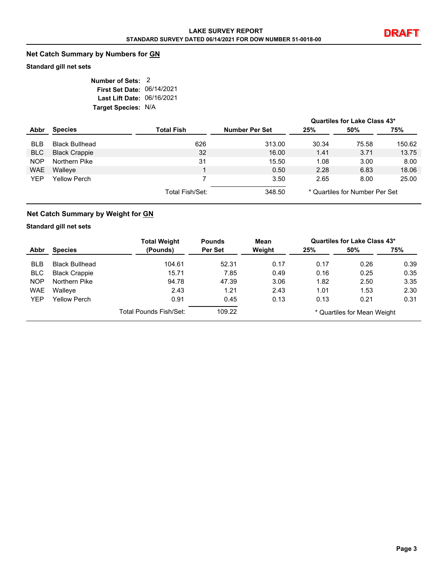## **Net Catch Summary by Numbers for GN**

#### **Standard gill net sets**

| Number of Sets: 2          |  |
|----------------------------|--|
| First Set Date: 06/14/2021 |  |
| Last Lift Date: 06/16/2021 |  |
| Target Species: N/A        |  |

|            |                       |                 |                |       | Quartiles for Lake Class 43*   |        |
|------------|-----------------------|-----------------|----------------|-------|--------------------------------|--------|
| Abbr       | <b>Species</b>        | Total Fish      | Number Per Set | 25%   | 50%                            | 75%    |
| <b>BLB</b> | <b>Black Bullhead</b> | 626             | 313.00         | 30.34 | 75.58                          | 150.62 |
| <b>BLC</b> | <b>Black Crappie</b>  | 32              | 16.00          | 1.41  | 3.71                           | 13.75  |
| <b>NOP</b> | Northern Pike         | 31              | 15.50          | 1.08  | 3.00                           | 8.00   |
| <b>WAE</b> | Walleye               |                 | 0.50           | 2.28  | 6.83                           | 18.06  |
| YEP        | Yellow Perch          |                 | 3.50           | 2.65  | 8.00                           | 25.00  |
|            |                       | Total Fish/Set: | 348.50         |       | * Quartiles for Number Per Set |        |

## **Net Catch Summary by Weight for GN**

#### **Standard gill net sets**

|            |                       | <b>Total Weight</b>    | <b>Pounds</b> | Mean   |                             | Quartiles for Lake Class 43* |      |
|------------|-----------------------|------------------------|---------------|--------|-----------------------------|------------------------------|------|
| Abbr       | <b>Species</b>        | (Pounds)               | Per Set       | Weight | 25%                         | 50%                          | 75%  |
| <b>BLB</b> | <b>Black Bullhead</b> | 104.61                 | 52.31         | 0.17   | 0.17                        | 0.26                         | 0.39 |
| <b>BLC</b> | <b>Black Crappie</b>  | 15.71                  | 7.85          | 0.49   | 0.16                        | 0.25                         | 0.35 |
| <b>NOP</b> | Northern Pike         | 94.78                  | 47.39         | 3.06   | 1.82                        | 2.50                         | 3.35 |
| <b>WAE</b> | Walleye               | 2.43                   | 1.21          | 2.43   | 1.01                        | 1.53                         | 2.30 |
| <b>YEP</b> | <b>Yellow Perch</b>   | 0.91                   | 0.45          | 0.13   | 0.13                        | 0.21                         | 0.31 |
|            |                       | Total Pounds Fish/Set: | 109.22        |        | * Quartiles for Mean Weight |                              |      |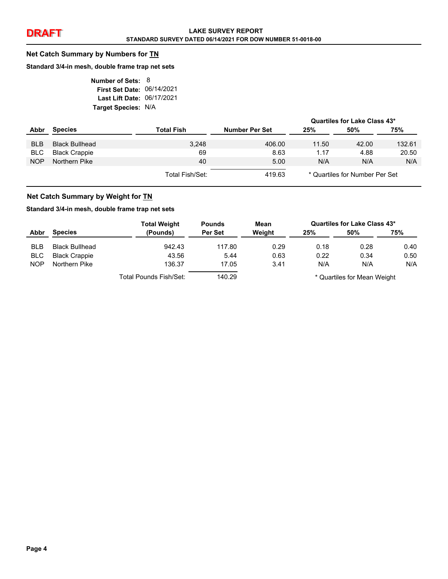#### **Net Catch Summary by Numbers for TN**

#### **Standard 3/4-in mesh, double frame trap net sets**

| Number of Sets: 8          |  |
|----------------------------|--|
| First Set Date: 06/14/2021 |  |
| Last Lift Date: 06/17/2021 |  |
| Target Species: N/A        |  |

|            |                      |                 |                       |                                | Quartiles for Lake Class 43* |        |
|------------|----------------------|-----------------|-----------------------|--------------------------------|------------------------------|--------|
| Abbr       | <b>Species</b>       | Total Fish      | <b>Number Per Set</b> | 25%                            | 50%                          | 75%    |
| <b>BLB</b> | Black Bullhead       | 3.248           | 406.00                | 11.50                          | 42.00                        | 132.61 |
| BLC.       | <b>Black Crappie</b> | 69              | 8.63                  | 1.17                           | 4.88                         | 20.50  |
| <b>NOP</b> | Northern Pike        | 40              | 5.00                  | N/A                            | N/A                          | N/A    |
|            |                      | Total Fish/Set: | 419.63                | * Quartiles for Number Per Set |                              |        |

#### **Net Catch Summary by Weight for TN**

#### **Standard 3/4-in mesh, double frame trap net sets**

|            |                       | <b>Total Weight</b>    | <b>Pounds</b> | Mean   |                             | Quartiles for Lake Class 43* |      |
|------------|-----------------------|------------------------|---------------|--------|-----------------------------|------------------------------|------|
| Abbr       | <b>Species</b>        | (Pounds)               | Per Set       | Weight | 25%                         | 50%                          | 75%  |
| <b>BLB</b> | <b>Black Bullhead</b> | 942.43                 | 117.80        | 0.29   | 0.18                        | 0.28                         | 0.40 |
| <b>BLC</b> | <b>Black Crappie</b>  | 43.56                  | 5.44          | 0.63   | 0.22                        | 0.34                         | 0.50 |
| <b>NOP</b> | Northern Pike         | 136.37                 | 17.05         | 3.41   | N/A                         | N/A                          | N/A  |
|            |                       | Total Pounds Fish/Set: | 140.29        |        | * Quartiles for Mean Weight |                              |      |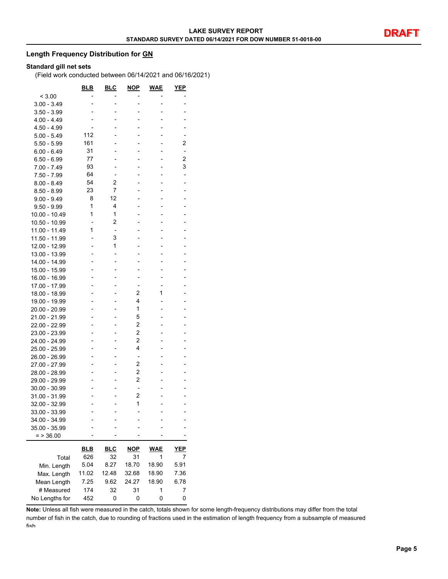#### **Length Frequency Distribution for GN**

#### **Standard gill net sets**

(Field work conducted between 06/14/2021 and 06/16/2021)

|                | <u>BLB</u> | <u>BLC</u> | <u>NOP</u>     | <b>WAE</b> | <u>YEP</u>     |
|----------------|------------|------------|----------------|------------|----------------|
| < 3.00         |            |            |                |            |                |
| $3.00 - 3.49$  |            |            |                |            |                |
| $3.50 - 3.99$  |            |            |                |            |                |
| 4.00 - 4.49    |            |            |                |            |                |
| 4.50 - 4.99    |            |            |                |            |                |
| $5.00 - 5.49$  | 112        |            |                |            |                |
| $5.50 - 5.99$  | 161        |            |                |            | 2              |
| $6.00 - 6.49$  | 31         |            |                |            |                |
| $6.50 - 6.99$  | 77         |            |                |            | $\overline{2}$ |
| 7.00 - 7.49    | 93         |            |                |            | 3              |
| $7.50 - 7.99$  | 64         |            |                |            | -              |
| $8.00 - 8.49$  | 54         | 2          |                |            |                |
| $8.50 - 8.99$  | 23         | 7          |                |            |                |
| $9.00 - 9.49$  | 8          | 12         |                |            |                |
| 9.50 - 9.99    | 1          | 4          |                |            |                |
| 10.00 - 10.49  | 1          | 1          |                |            |                |
| 10.50 - 10.99  |            | 2          |                |            |                |
| 11.00 - 11.49  | 1          | ٠          |                |            |                |
| 11.50 - 11.99  |            | 3          |                |            |                |
| 12.00 - 12.99  |            | 1          |                |            |                |
| 13.00 - 13.99  |            |            |                |            |                |
| 14.00 - 14.99  |            |            |                |            |                |
| 15.00 - 15.99  |            |            |                |            |                |
| 16.00 - 16.99  |            |            |                |            |                |
| 17.00 - 17.99  |            |            |                |            |                |
| 18.00 - 18.99  |            |            | 2              | 1          |                |
| 19.00 - 19.99  |            |            | 4              |            |                |
| 20.00 - 20.99  |            |            | 1              |            |                |
| 21.00 - 21.99  |            |            | 5              |            |                |
| 22.00 - 22.99  |            |            | $\overline{c}$ |            |                |
| 23.00 - 23.99  |            |            | $\overline{2}$ |            |                |
|                |            |            | 2              |            |                |
| 24.00 - 24.99  |            |            | 4              |            |                |
| 25.00 - 25.99  |            |            |                |            |                |
| 26.00 - 26.99  |            |            | -<br>2         |            |                |
| 27.00 - 27.99  |            |            |                |            |                |
| 28.00 - 28.99  |            |            | 2              |            |                |
| 29.00 - 29.99  |            |            | 2              |            |                |
| 30.00 - 30.99  |            |            | $\overline{a}$ |            |                |
| 31.00 - 31.99  |            |            | 2              |            |                |
| 32.00 - 32.99  |            |            | 1              |            |                |
| 33.00 - 33.99  |            |            |                |            |                |
| 34.00 - 34.99  |            |            |                |            |                |
| 35.00 - 35.99  |            |            |                |            |                |
| $=$ > 36.00    |            |            |                |            |                |
|                | <u>BLB</u> | <b>BLC</b> | <b>NOP</b>     | WAE        | <u>YE</u> P    |
| Total          | 626        | 32         | 31             | 1          | 7              |
|                | 5.04       | 8.27       | 18.70          | 18.90      | 5.91           |
| Min. Length    | 11.02      |            |                |            |                |
| Max. Length    |            | 12.48      | 32.68          | 18.90      | 7.36           |
| Mean Length    | 7.25       | 9.62       | 24.27          | 18.90      | 6.78           |
| # Measured     | 174        | 32         | 31             | 1          | 7              |
| No Lengths for | 452        | 0          | 0              | 0          | 0              |

**Note:** Unless all fish were measured in the catch, totals shown for some length-frequency distributions may differ from the total number of fish in the catch, due to rounding of fractions used in the estimation of length frequency from a subsample of measured fish.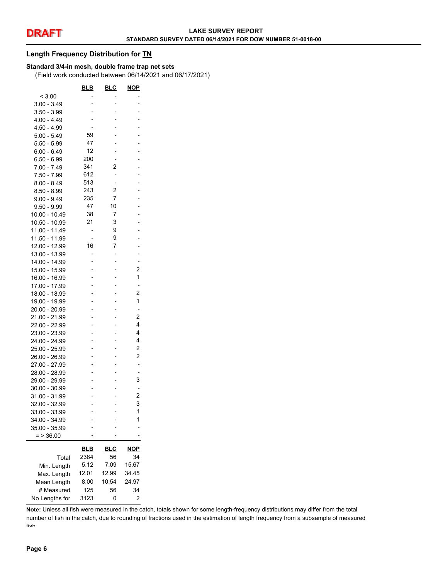#### **Length Frequency Distribution for TN**

#### **Standard 3/4-in mesh, double frame trap net sets**

(Field work conducted between 06/14/2021 and 06/17/2021)

|                | <u>BLB</u> | <u>BLC</u> | <b>NOP</b>     |
|----------------|------------|------------|----------------|
| < 3.00         |            |            |                |
| $3.00 - 3.49$  |            |            |                |
| 3.50 - 3.99    |            |            |                |
| $4.00 - 4.49$  |            |            |                |
| $4.50 - 4.99$  |            |            |                |
| $5.00 - 5.49$  | 59         |            |                |
| $5.50 - 5.99$  | 47         |            |                |
| $6.00 - 6.49$  | 12         |            |                |
| $6.50 - 6.99$  | 200        |            |                |
| $7.00 - 7.49$  | 341        | 2          |                |
| 7.50 - 7.99    | 612        |            |                |
| $8.00 - 8.49$  | 513        | -          |                |
| $8.50 - 8.99$  | 243        | 2          |                |
| $9.00 - 9.49$  | 235        | 7          |                |
| $9.50 - 9.99$  | 47         | 10         |                |
| 10.00 - 10.49  | 38         | 7          |                |
| 10.50 - 10.99  | 21         | 3          |                |
| 11.00 - 11.49  |            | 9          |                |
| 11.50 - 11.99  |            | 9          |                |
| 12.00 - 12.99  | 16         | 7          |                |
| 13.00 - 13.99  |            |            |                |
| 14.00 - 14.99  |            |            | -              |
| 15.00 - 15.99  |            |            | $\overline{c}$ |
| 16.00 - 16.99  |            |            | $\overline{1}$ |
| 17.00 - 17.99  |            |            | $\overline{a}$ |
| 18.00 - 18.99  |            |            | 2              |
| 19.00 - 19.99  | -          |            | 1              |
| 20.00 - 20.99  |            |            |                |
| 21.00 - 21.99  |            |            | 2              |
| 22.00 - 22.99  |            |            | 4              |
| 23.00 - 23.99  |            |            | 4              |
| 24.00 - 24.99  |            |            | 4              |
| 25.00 - 25.99  |            |            | 2              |
| 26.00 - 26.99  |            |            | 2              |
| 27.00 - 27.99  |            |            |                |
| 28.00 - 28.99  |            |            |                |
| 29.00 - 29.99  |            |            | 3              |
| 30.00 - 30.99  |            |            |                |
| 31.00 - 31.99  |            |            | $\overline{c}$ |
| 32.00 - 32.99  |            |            | 3              |
| 33.00 - 33.99  |            |            | $\overline{1}$ |
| 34.00 - 34.99  |            |            | 1              |
| 35.00 - 35.99  |            |            |                |
| $=$ > 36.00    |            |            |                |
|                |            |            |                |
|                | <u>BLB</u> | <u>BLC</u> | NOP            |
| Total          | 2384       | 56         | 34             |
| Min. Length    | 5.12       | 7.09       | 15.67          |
| Max. Length    | 12.01      | 12.99      | 34.45          |
| Mean Length    | 8.00       | 10.54      | 24.97          |
| # Measured     | 125        | 56         | 34             |
| No Lengths for | 3123       | 0          | 2              |

**Note:** Unless all fish were measured in the catch, totals shown for some length-frequency distributions may differ from the total number of fish in the catch, due to rounding of fractions used in the estimation of length frequency from a subsample of measured fish.

L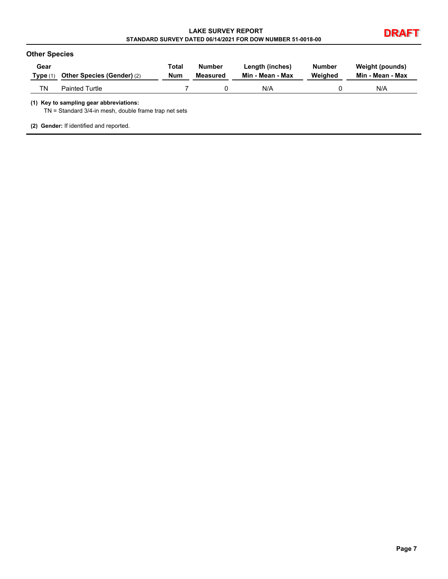| <b>LAKE SURVEY REPORT</b>                                  |  |
|------------------------------------------------------------|--|
| STANDARD SURVEY DATED 06/14/2021 FOR DOW NUMBER 51-0018-00 |  |



| Gear       | Other Species (Gender) (2) | Total      | <b>Number</b> | Length (inches)  | <b>Number</b> | Weight (pounds)  |
|------------|----------------------------|------------|---------------|------------------|---------------|------------------|
| Type $(1)$ |                            | <b>Num</b> | Measured      | Min - Mean - Max | Weighed       | Min - Mean - Max |
| ΤN         | <b>Painted Turtle</b>      |            |               | N/A              |               | N/A              |

TN = Standard 3/4-in mesh, double frame trap net sets

**(2) Gender:** If identified and reported.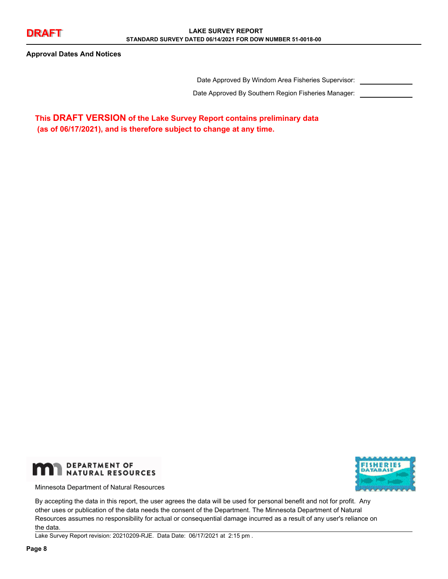**Approval Dates And Notices**

Date Approved By Windom Area Fisheries Supervisor:

Date Approved By Southern Region Fisheries Manager:

**This DRAFT VERSION of the Lake Survey Report contains preliminary data (as of 06/17/2021), and is therefore subject to change at any time.**



Minnesota Department of Natural Resources



By accepting the data in this report, the user agrees the data will be used for personal benefit and not for profit. Any other uses or publication of the data needs the consent of the Department. The Minnesota Department of Natural Resources assumes no responsibility for actual or consequential damage incurred as a result of any user's reliance on the data.

Lake Survey Report revision: 20210209-RJE. Data Date: 06/17/2021 at 2:15 pm .